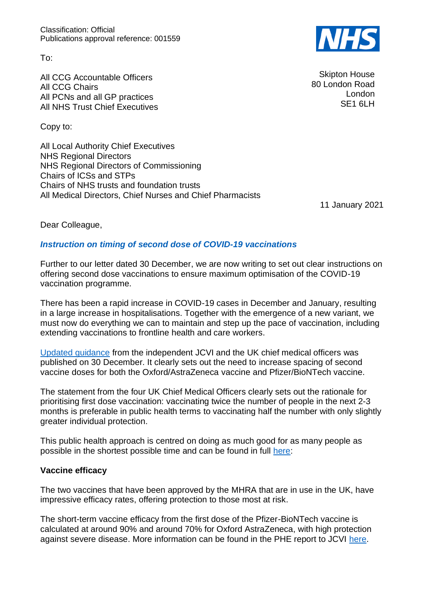Classification: Official Publications approval reference: 001559

To:

All CCG Accountable Officers All CCG Chairs All PCNs and all GP practices All NHS Trust Chief Executives

Copy to:

All Local Authority Chief Executives NHS Regional Directors NHS Regional Directors of Commissioning Chairs of ICSs and STPs Chairs of NHS trusts and foundation trusts All Medical Directors, Chief Nurses and Chief Pharmacists

11 January 2021

Dear Colleague,

# *Instruction on timing of second dose of COVID-19 vaccinations*

Further to our letter dated 30 December, we are now writing to set out clear instructions on offering second dose vaccinations to ensure maximum optimisation of the COVID-19 vaccination programme.

There has been a rapid increase in COVID-19 cases in December and January, resulting in a large increase in hospitalisations. Together with the emergence of a new variant, we must now do everything we can to maintain and step up the pace of vaccination, including extending vaccinations to frontline health and care workers.

[Updated guidance](https://www.gov.uk/government/news/statement-from-the-uk-chief-medical-officers-on-the-prioritisation-of-first-doses-of-covid-19-vaccines) from the independent JCVI and the UK chief medical officers was published on 30 December. It clearly sets out the need to increase spacing of second vaccine doses for both the Oxford/AstraZeneca vaccine and Pfizer/BioNTech vaccine.

The statement from the four UK Chief Medical Officers clearly sets out the rationale for prioritising first dose vaccination: vaccinating twice the number of people in the next 2-3 months is preferable in public health terms to vaccinating half the number with only slightly greater individual protection.

This public health approach is centred on doing as much good for as many people as possible in the shortest possible time and can be found in full [here:](https://www.cas.mhra.gov.uk/ViewandAcknowledgment/ViewAlert.aspx?AlertID=103132)

### **Vaccine efficacy**

The two vaccines that have been approved by the MHRA that are in use in the UK, have impressive efficacy rates, offering protection to those most at risk.

The short-term vaccine efficacy from the first dose of the Pfizer-BioNTech vaccine is calculated at around 90% and around 70% for Oxford AstraZeneca, with high protection against severe disease. More information can be found in the PHE report to JCVI [here.](https://assets.publishing.service.gov.uk/government/uploads/system/uploads/attachment_data/file/949505/annex-a-phe-report-to-jcvi-on-estimated-efficacy-of-single-vaccine-dose.pdf)



Skipton House 80 London Road London SE1 6LH